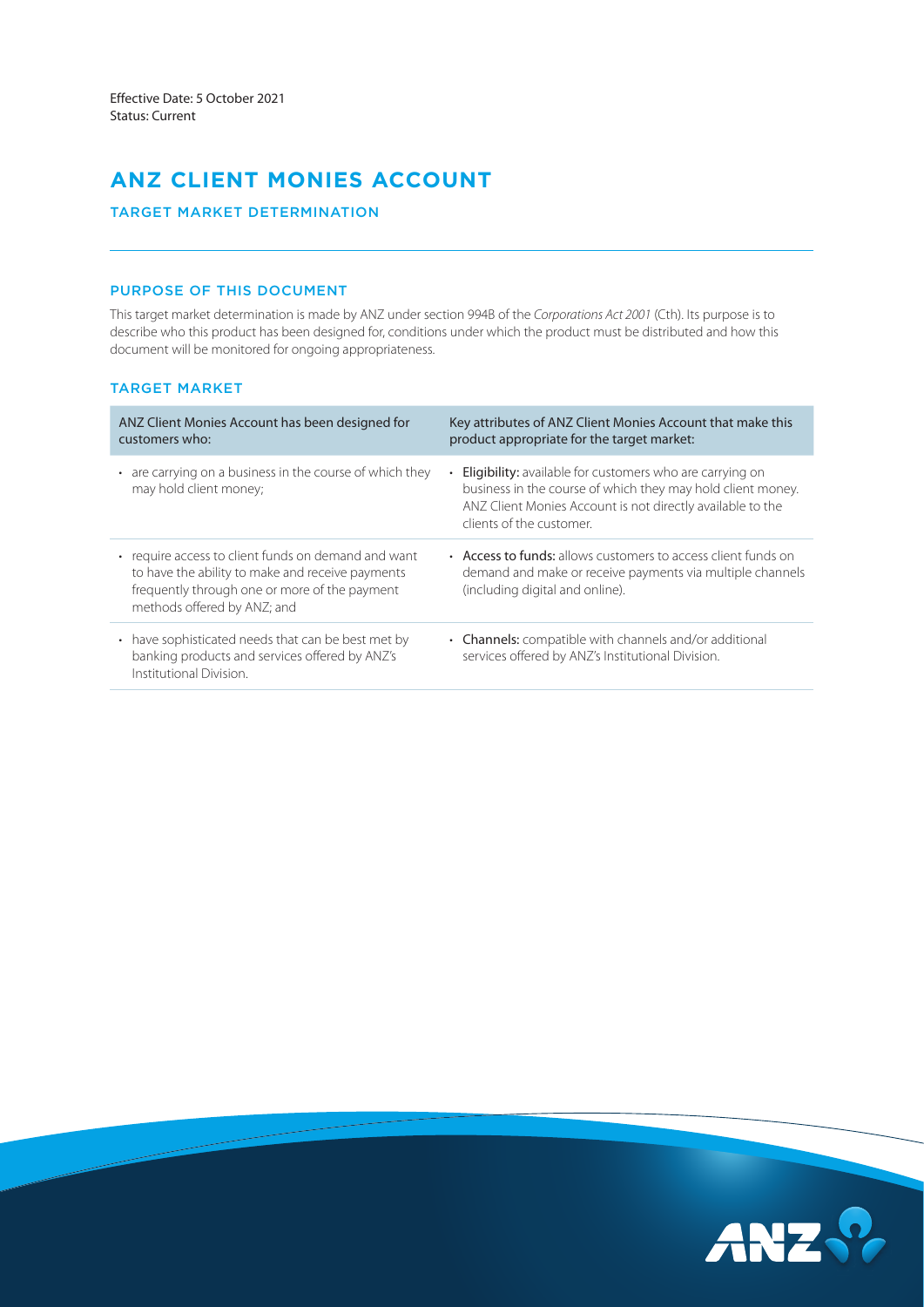# **ANZ CLIENT MONIES ACCOUNT**

# TARGET MARKET DETERMINATION

# PURPOSE OF THIS DOCUMENT

This target market determination is made by ANZ under section 994B of the *Corporations Act 2001* (Cth). Its purpose is to describe who this product has been designed for, conditions under which the product must be distributed and how this document will be monitored for ongoing appropriateness.

# TARGET MARKET

| ANZ Client Monies Account has been designed for<br>customers who:                                                                                                                       | Key attributes of ANZ Client Monies Account that make this<br>product appropriate for the target market:                                                                                                                 |
|-----------------------------------------------------------------------------------------------------------------------------------------------------------------------------------------|--------------------------------------------------------------------------------------------------------------------------------------------------------------------------------------------------------------------------|
| • are carrying on a business in the course of which they<br>may hold client money;                                                                                                      | <b>Eligibility:</b> available for customers who are carrying on<br>business in the course of which they may hold client money.<br>ANZ Client Monies Account is not directly available to the<br>clients of the customer. |
| • require access to client funds on demand and want<br>to have the ability to make and receive payments<br>frequently through one or more of the payment<br>methods offered by ANZ; and | • Access to funds: allows customers to access client funds on<br>demand and make or receive payments via multiple channels<br>(including digital and online).                                                            |
| • have sophisticated needs that can be best met by<br>banking products and services offered by ANZ's<br>Institutional Division.                                                         | • Channels: compatible with channels and/or additional<br>services offered by ANZ's Institutional Division.                                                                                                              |

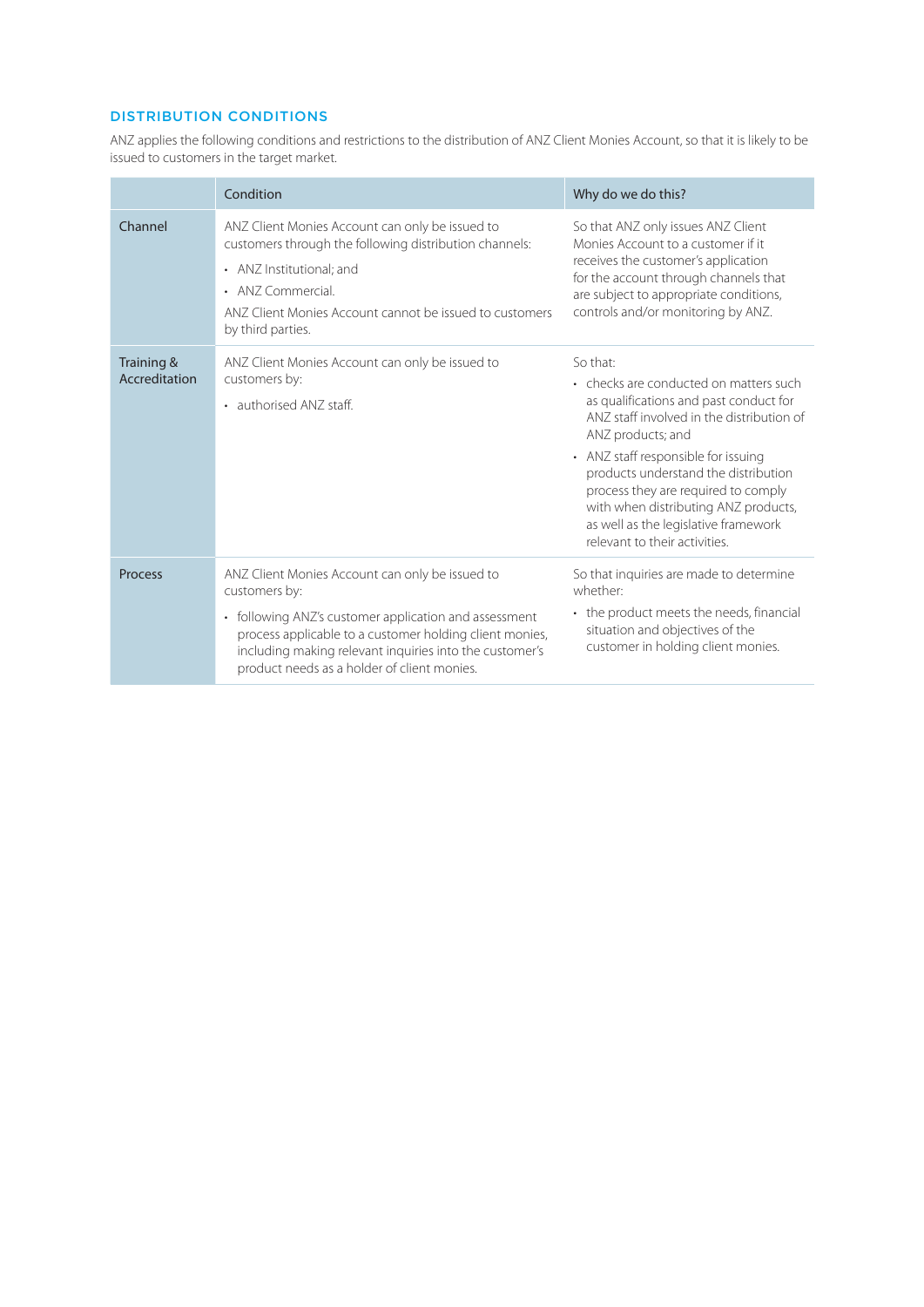# DISTRIBUTION CONDITIONS

ANZ applies the following conditions and restrictions to the distribution of ANZ Client Monies Account, so that it is likely to be issued to customers in the target market.

|                             | Condition                                                                                                                                                                                                                                                                                      | Why do we do this?                                                                                                                                                                                                                                                                                                                                                                                    |
|-----------------------------|------------------------------------------------------------------------------------------------------------------------------------------------------------------------------------------------------------------------------------------------------------------------------------------------|-------------------------------------------------------------------------------------------------------------------------------------------------------------------------------------------------------------------------------------------------------------------------------------------------------------------------------------------------------------------------------------------------------|
| Channel                     | ANZ Client Monies Account can only be issued to<br>customers through the following distribution channels:<br>• ANZ Institutional; and<br>• ANZ Commercial<br>ANZ Client Monies Account cannot be issued to customers<br>by third parties.                                                      | So that ANZ only issues ANZ Client<br>Monies Account to a customer if it<br>receives the customer's application<br>for the account through channels that<br>are subject to appropriate conditions,<br>controls and/or monitoring by ANZ.                                                                                                                                                              |
| Training &<br>Accreditation | ANZ Client Monies Account can only be issued to<br>customers by:<br>• authorised ANZ staff.                                                                                                                                                                                                    | So that:<br>• checks are conducted on matters such<br>as qualifications and past conduct for<br>ANZ staff involved in the distribution of<br>ANZ products; and<br>• ANZ staff responsible for issuing<br>products understand the distribution<br>process they are required to comply<br>with when distributing ANZ products,<br>as well as the legislative framework<br>relevant to their activities. |
| <b>Process</b>              | ANZ Client Monies Account can only be issued to<br>customers by:<br>• following ANZ's customer application and assessment<br>process applicable to a customer holding client monies,<br>including making relevant inquiries into the customer's<br>product needs as a holder of client monies. | So that inquiries are made to determine<br>whether:<br>• the product meets the needs, financial<br>situation and objectives of the<br>customer in holding client monies.                                                                                                                                                                                                                              |